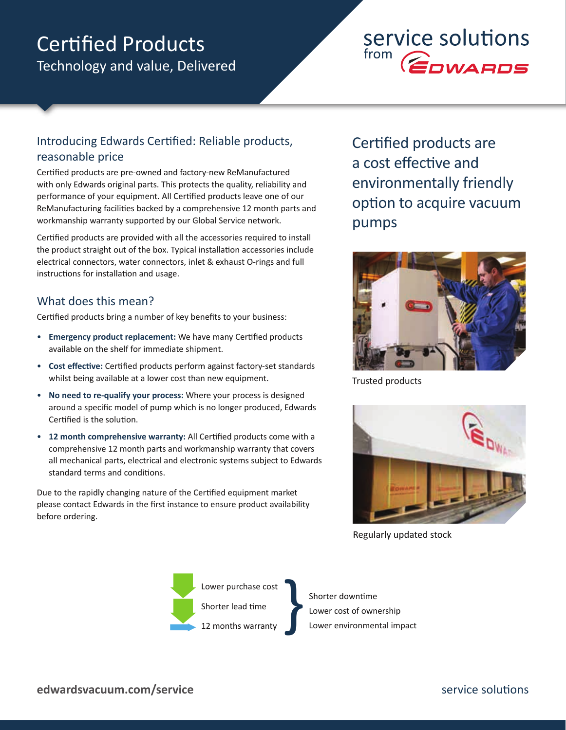## Technology and value, Delivered Certified Products

# service solutions  $\overbrace{E}$ DWARDS

## Introducing Edwards Certified: Reliable products, reasonable price

Certified products are pre-owned and factory-new ReManufactured with only Edwards original parts. This protects the quality, reliability and performance of your equipment. All Certified products leave one of our ReManufacturing facilities backed by a comprehensive 12 month parts and workmanship warranty supported by our Global Service network.

Certified products are provided with all the accessories required to install the product straight out of the box. Typical installation accessories include electrical connectors, water connectors, inlet & exhaust O-rings and full instructions for installation and usage.

## What does this mean?

Certified products bring a number of key benefits to your business:

- **Emergency product replacement:** We have many Certified products available on the shelf for immediate shipment.
- **Cost effective:** Certified products perform against factory-set standards whilst being available at a lower cost than new equipment.
- **No need to re-qualify your process:** Where your process is designed around a specific model of pump which is no longer produced, Edwards Certified is the solution.
- **12 month comprehensive warranty:** All Certified products come with a comprehensive 12 month parts and workmanship warranty that covers all mechanical parts, electrical and electronic systems subject to Edwards standard terms and conditions.

Due to the rapidly changing nature of the Certified equipment market please contact Edwards in the first instance to ensure product availability before ordering.

Certified products are a cost effective and environmentally friendly option to acquire vacuum pumps



Trusted products



Regularly updated stock



Shorter downtime Shorter downtime<br>Lower cost of ownership<br>Lower environmental impact